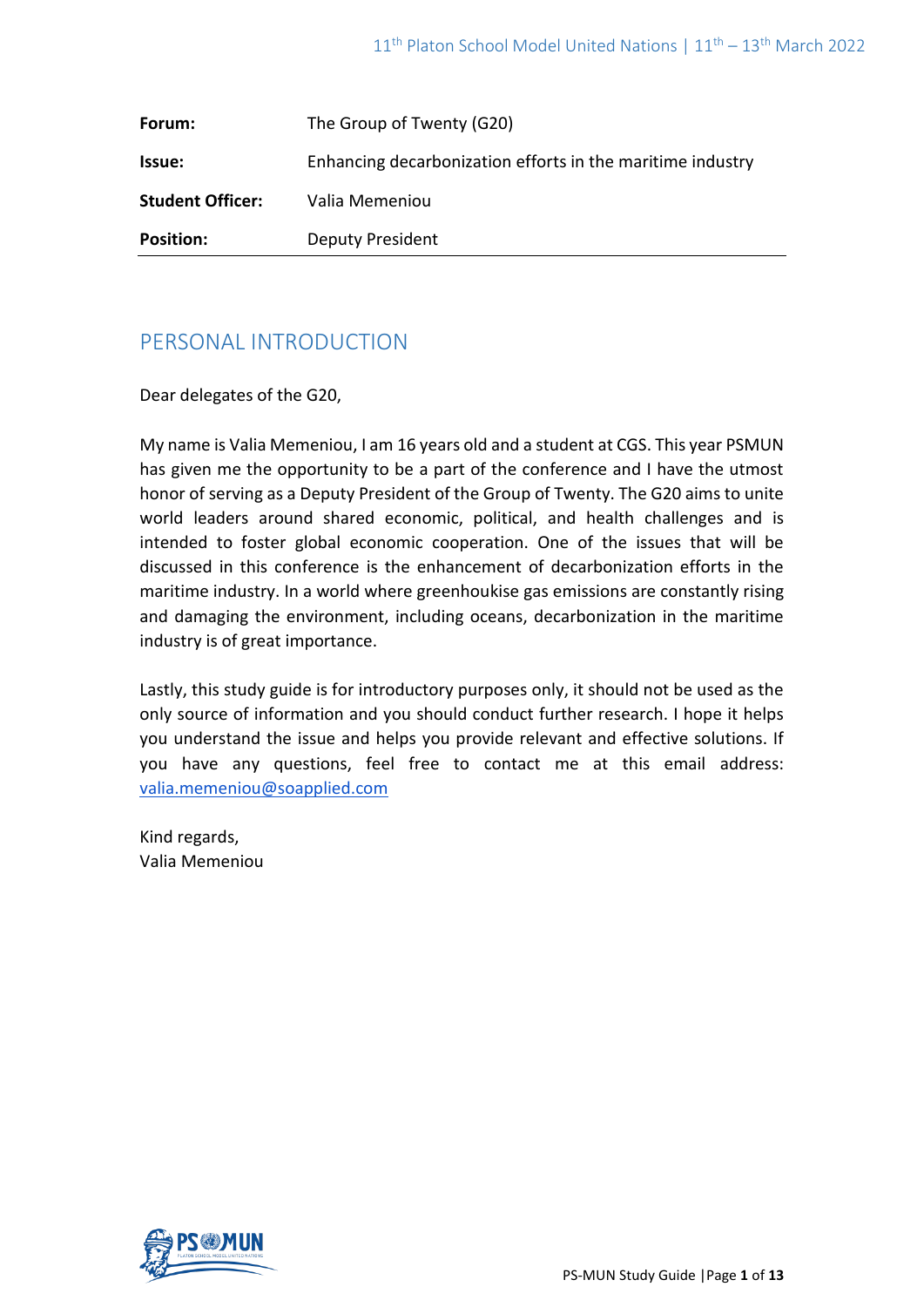| Forum:                  | The Group of Twenty (G20)                                  |
|-------------------------|------------------------------------------------------------|
| Issue:                  | Enhancing decarbonization efforts in the maritime industry |
| <b>Student Officer:</b> | Valia Memeniou                                             |
| <b>Position:</b>        | <b>Deputy President</b>                                    |

# PERSONAL INTRODUCTION

Dear delegates of the G20,

My name is Valia Memeniou, I am 16 years old and a student at CGS. This year PSMUN has given me the opportunity to be a part of the conference and I have the utmost honor of serving as a Deputy President of the Group of Twenty. The G20 aims to unite world leaders around shared economic, political, and health challenges and is intended to foster global economic cooperation. One of the issues that will be discussed in this conference is the enhancement of decarbonization efforts in the maritime industry. In a world where greenhoukise gas emissions are constantly rising and damaging the environment, including oceans, decarbonization in the maritime industry is of great importance.

Lastly, this study guide is for introductory purposes only, it should not be used as the only source of information and you should conduct further research. I hope it helps you understand the issue and helps you provide relevant and effective solutions. If you have any questions, feel free to contact me at this email address: [valia.memeniou@soapplied.com](mailto:valia.memeniou@soapplied.com)

Kind regards, Valia Memeniou

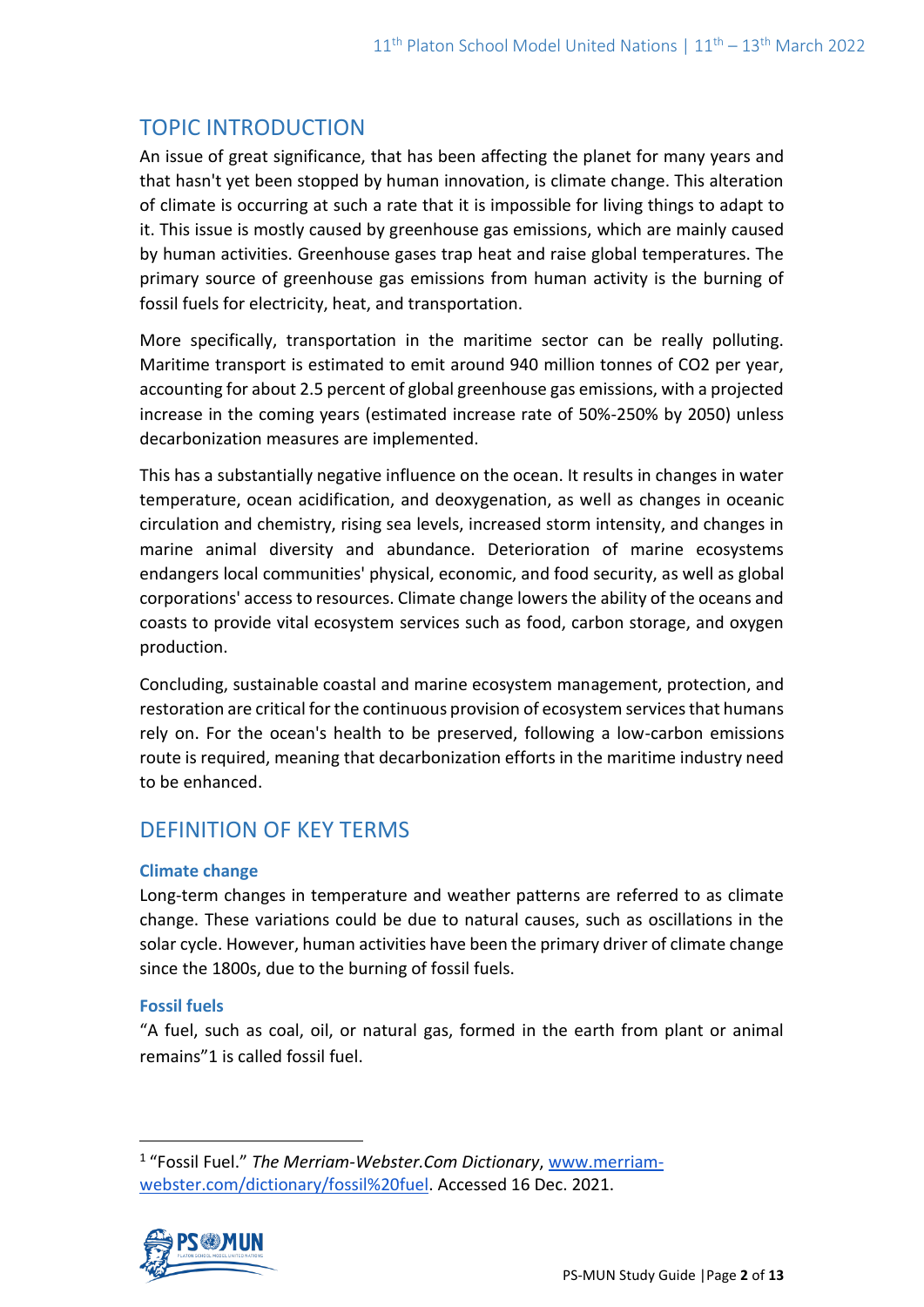# TOPIC INTRODUCTION

An issue of great significance, that has been affecting the planet for many years and that hasn't yet been stopped by human innovation, is climate change. This alteration of climate is occurring at such a rate that it is impossible for living things to adapt to it. This issue is mostly caused by greenhouse gas emissions, which are mainly caused by human activities. Greenhouse gases trap heat and raise global temperatures. The primary source of greenhouse gas emissions from human activity is the burning of fossil fuels for electricity, heat, and transportation.

More specifically, transportation in the maritime sector can be really polluting. Maritime transport is estimated to emit around 940 million tonnes of CO2 per year, accounting for about 2.5 percent of global greenhouse gas emissions, with a projected increase in the coming years (estimated increase rate of 50%-250% by 2050) unless decarbonization measures are implemented.

This has a substantially negative influence on the ocean. It results in changes in water temperature, ocean acidification, and deoxygenation, as well as changes in oceanic circulation and chemistry, rising sea levels, increased storm intensity, and changes in marine animal diversity and abundance. Deterioration of marine ecosystems endangers local communities' physical, economic, and food security, as well as global corporations' access to resources. Climate change lowers the ability of the oceans and coasts to provide vital ecosystem services such as food, carbon storage, and oxygen production.

Concluding, sustainable coastal and marine ecosystem management, protection, and restoration are critical for the continuous provision of ecosystem services that humans rely on. For the ocean's health to be preserved, following a low-carbon emissions route is required, meaning that decarbonization efforts in the maritime industry need to be enhanced.

# DEFINITION OF KEY TERMS

# **Climate change**

Long-term changes in temperature and weather patterns are referred to as climate change. These variations could be due to natural causes, such as oscillations in the solar cycle. However, human activities have been the primary driver of climate change since the 1800s, due to the burning of fossil fuels.

# **Fossil fuels**

"A fuel, such as coal, oil, or natural gas, formed in the earth from plant or animal remains"1 is called fossil fuel.

<sup>&</sup>lt;sup>1</sup> "Fossil Fuel." The Merriam-Webster.Com Dictionary, [www.merriam](http://www.merriam-webster.com/dictionary/fossil%20fuel)[webster.com/dictionary/fossil%20fuel.](http://www.merriam-webster.com/dictionary/fossil%20fuel) Accessed 16 Dec. 2021.

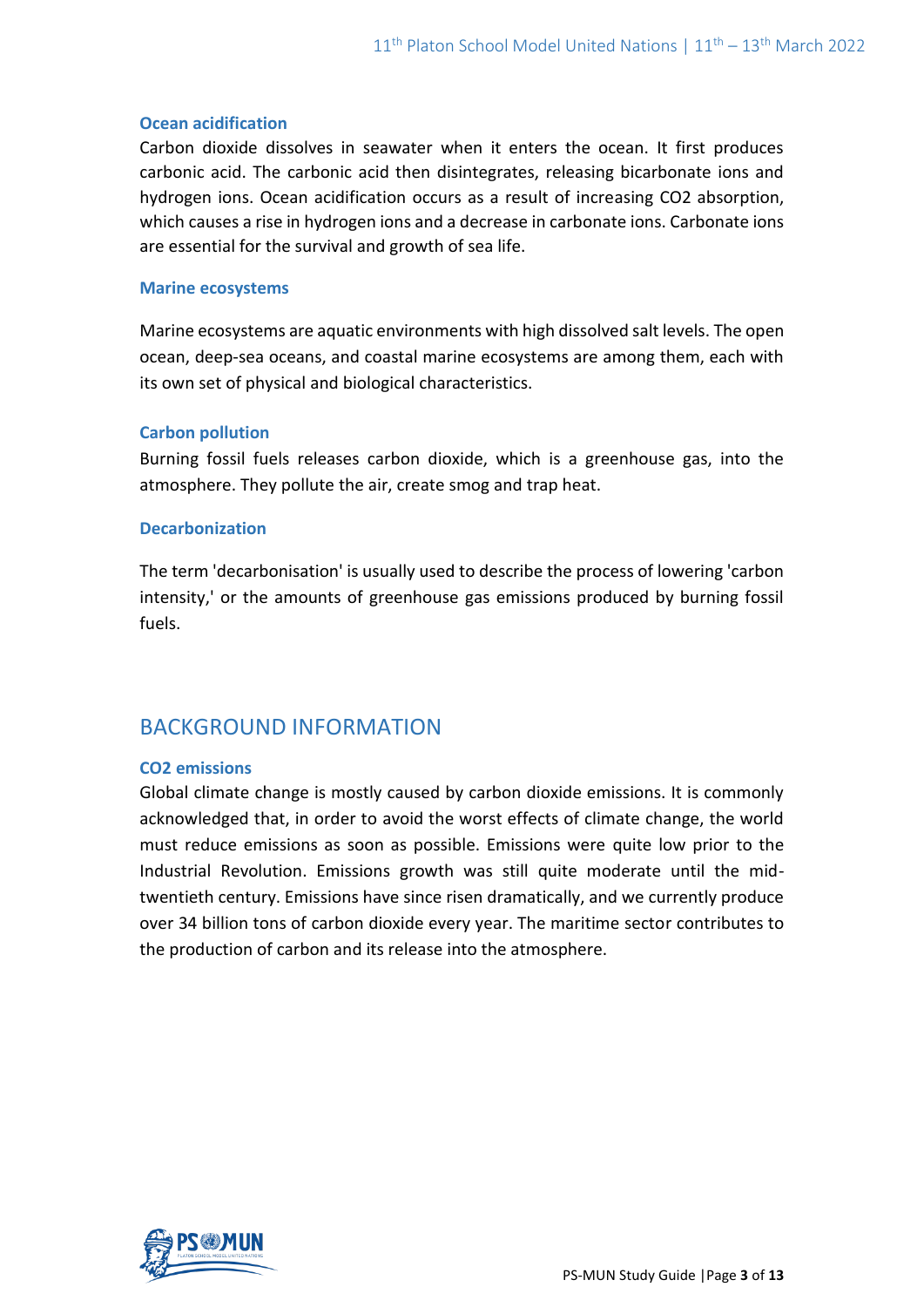#### **Ocean acidification**

Carbon dioxide dissolves in seawater when it enters the ocean. It first produces carbonic acid. The carbonic acid then disintegrates, releasing bicarbonate ions and hydrogen ions. Ocean acidification occurs as a result of increasing CO2 absorption, which causes a rise in hydrogen ions and a decrease in carbonate ions. Carbonate ions are essential for the survival and growth of sea life.

#### **Marine ecosystems**

Marine ecosystems are aquatic environments with high dissolved salt levels. The open ocean, deep-sea oceans, and coastal marine ecosystems are among them, each with its own set of physical and biological characteristics.

#### **Carbon pollution**

Burning fossil fuels releases carbon dioxide, which is a greenhouse gas, into the atmosphere. They pollute the air, create smog and trap heat.

#### **Decarbonization**

The term 'decarbonisation' is usually used to describe the process of lowering 'carbon intensity,' or the amounts of greenhouse gas emissions produced by burning fossil fuels.

# BACKGROUND INFORMATION

#### **CO2 emissions**

Global climate change is mostly caused by carbon dioxide emissions. It is commonly acknowledged that, in order to avoid the worst effects of climate change, the world must reduce emissions as soon as possible. Emissions were quite low prior to the Industrial Revolution. Emissions growth was still quite moderate until the midtwentieth century. Emissions have since risen dramatically, and we currently produce over 34 billion tons of carbon dioxide every year. The maritime sector contributes to the production of carbon and its release into the atmosphere.

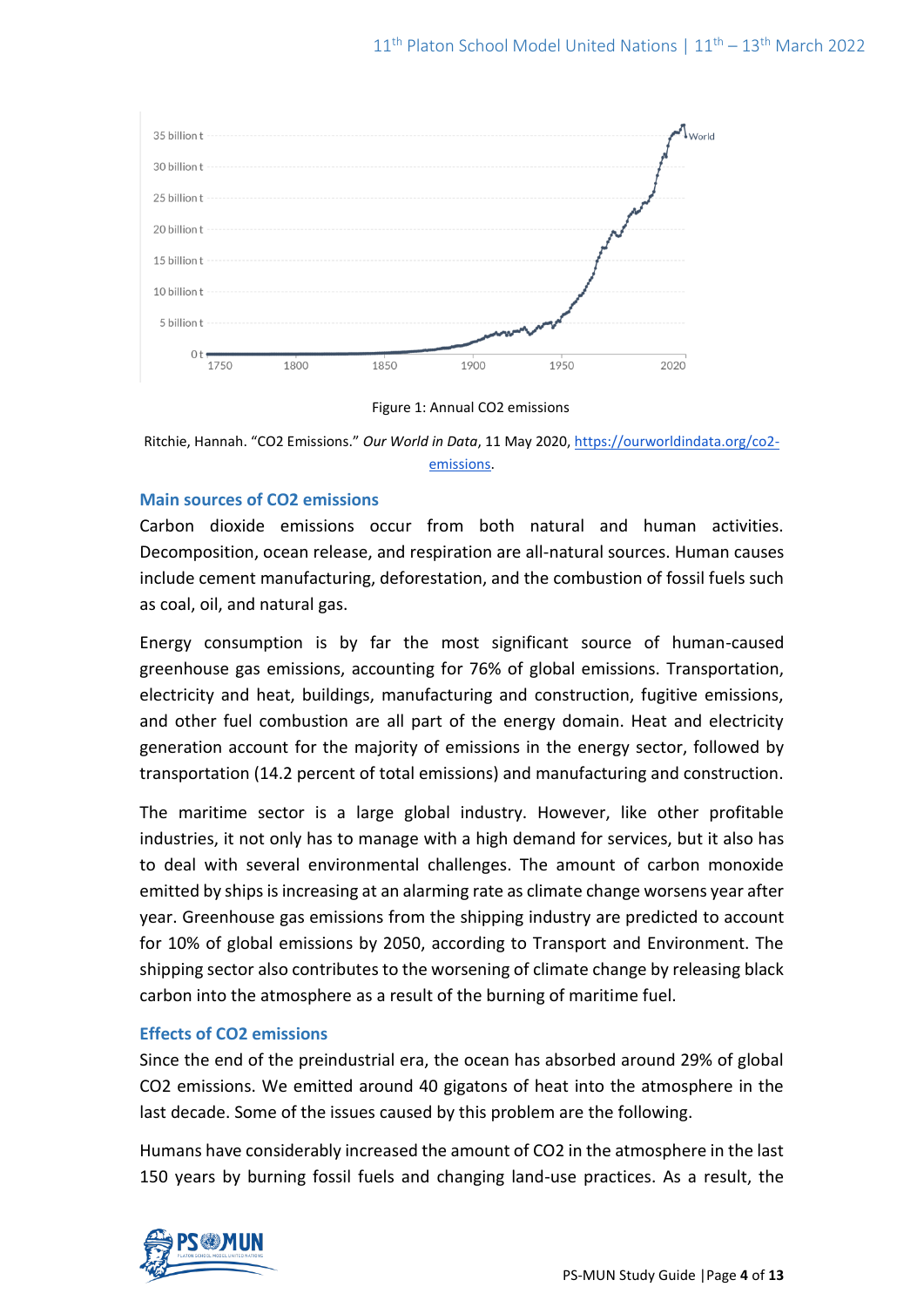

Figure 1: Annual CO2 emissions

Ritchie, Hannah. "CO2 Emissions." *Our World in Data*, 11 May 2020, [https://ourworldindata.org/co2](https://ourworldindata.org/co2-emissions) [emissions.](https://ourworldindata.org/co2-emissions)

# **Main sources of CO2 emissions**

Carbon dioxide emissions occur from both natural and human activities. Decomposition, ocean release, and respiration are all-natural sources. Human causes include cement manufacturing, deforestation, and the combustion of fossil fuels such as coal, oil, and natural gas.

Energy consumption is by far the most significant source of human-caused greenhouse gas emissions, accounting for 76% of global emissions. Transportation, electricity and heat, buildings, manufacturing and construction, fugitive emissions, and other fuel combustion are all part of the energy domain. Heat and electricity generation account for the majority of emissions in the energy sector, followed by transportation (14.2 percent of total emissions) and manufacturing and construction.

The maritime sector is a large global industry. However, like other profitable industries, it not only has to manage with a high demand for services, but it also has to deal with several environmental challenges. The amount of carbon monoxide emitted by ships is increasing at an alarming rate as climate change worsens year after year. Greenhouse gas emissions from the shipping industry are predicted to account for 10% of global emissions by 2050, according to Transport and Environment. The shipping sector also contributes to the worsening of climate change by releasing black carbon into the atmosphere as a result of the burning of maritime fuel.

# **Effects of CO2 emissions**

Since the end of the preindustrial era, the ocean has absorbed around 29% of global CO2 emissions. We emitted around 40 gigatons of heat into the atmosphere in the last decade. Some of the issues caused by this problem are the following.

Humans have considerably increased the amount of CO2 in the atmosphere in the last 150 years by burning fossil fuels and changing land-use practices. As a result, the

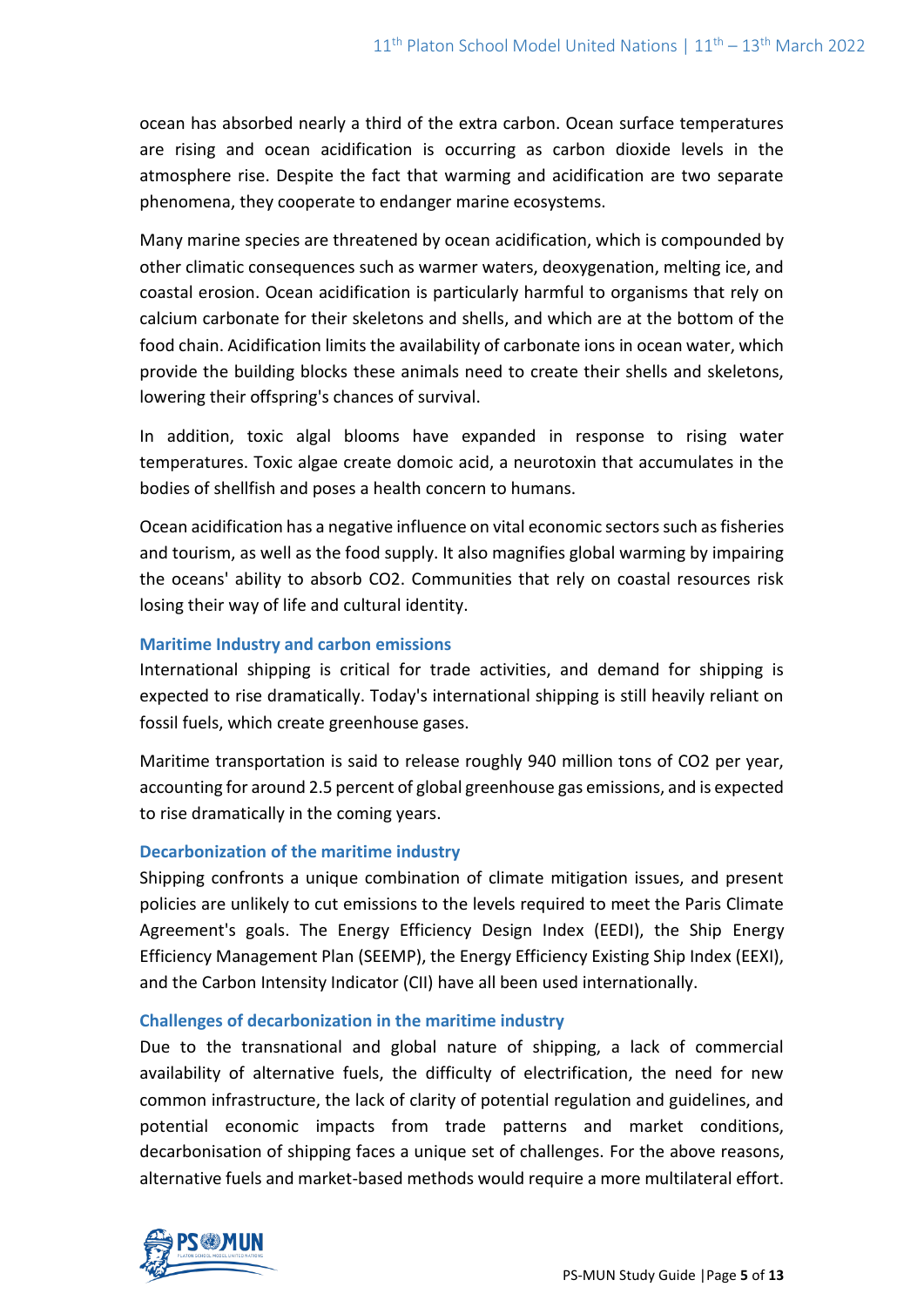ocean has absorbed nearly a third of the extra carbon. Ocean surface temperatures are rising and ocean acidification is occurring as carbon dioxide levels in the atmosphere rise. Despite the fact that warming and acidification are two separate phenomena, they cooperate to endanger marine ecosystems.

Many marine species are threatened by ocean acidification, which is compounded by other climatic consequences such as warmer waters, deoxygenation, melting ice, and coastal erosion. Ocean acidification is particularly harmful to organisms that rely on calcium carbonate for their skeletons and shells, and which are at the bottom of the food chain. Acidification limits the availability of carbonate ions in ocean water, which provide the building blocks these animals need to create their shells and skeletons, lowering their offspring's chances of survival.

In addition, toxic algal blooms have expanded in response to rising water temperatures. Toxic algae create domoic acid, a neurotoxin that accumulates in the bodies of shellfish and poses a health concern to humans.

Ocean acidification has a negative influence on vital economic sectors such as fisheries and tourism, as well as the food supply. It also magnifies global warming by impairing the oceans' ability to absorb CO2. Communities that rely on coastal resources risk losing their way of life and cultural identity.

### **Maritime Industry and carbon emissions**

International shipping is critical for trade activities, and demand for shipping is expected to rise dramatically. Today's international shipping is still heavily reliant on fossil fuels, which create greenhouse gases.

Maritime transportation is said to release roughly 940 million tons of CO2 per year, accounting for around 2.5 percent of global greenhouse gas emissions, and is expected to rise dramatically in the coming years.

# **Decarbonization of the maritime industry**

Shipping confronts a unique combination of climate mitigation issues, and present policies are unlikely to cut emissions to the levels required to meet the Paris Climate Agreement's goals. The Energy Efficiency Design Index (EEDI), the Ship Energy Efficiency Management Plan (SEEMP), the Energy Efficiency Existing Ship Index (EEXI), and the Carbon Intensity Indicator (CII) have all been used internationally.

#### **Challenges of decarbonization in the maritime industry**

Due to the transnational and global nature of shipping, a lack of commercial availability of alternative fuels, the difficulty of electrification, the need for new common infrastructure, the lack of clarity of potential regulation and guidelines, and potential economic impacts from trade patterns and market conditions, decarbonisation of shipping faces a unique set of challenges. For the above reasons, alternative fuels and market-based methods would require a more multilateral effort.

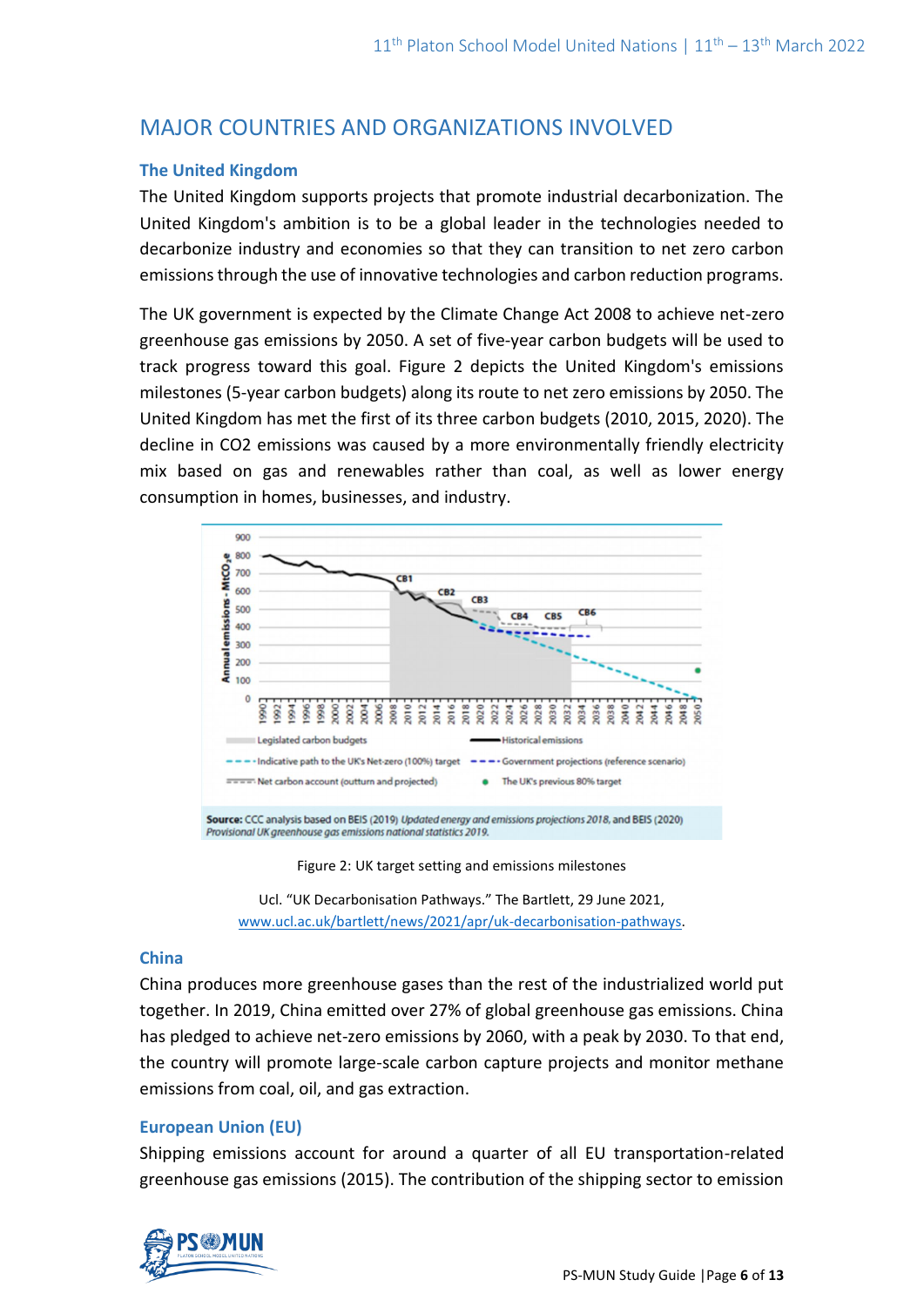# MAJOR COUNTRIES AND ORGANIZATIONS INVOLVED

#### **The United Kingdom**

The United Kingdom supports projects that promote industrial decarbonization. The United Kingdom's ambition is to be a global leader in the technologies needed to decarbonize industry and economies so that they can transition to net zero carbon emissions through the use of innovative technologies and carbon reduction programs.

The UK government is expected by the Climate Change Act 2008 to achieve net-zero greenhouse gas emissions by 2050. A set of five-year carbon budgets will be used to track progress toward this goal. Figure 2 depicts the United Kingdom's emissions milestones (5-year carbon budgets) along its route to net zero emissions by 2050. The United Kingdom has met the first of its three carbon budgets (2010, 2015, 2020). The decline in CO2 emissions was caused by a more environmentally friendly electricity mix based on gas and renewables rather than coal, as well as lower energy consumption in homes, businesses, and industry.



Figure 2: UK target setting and emissions milestones

Ucl. "UK Decarbonisation Pathways." The Bartlett, 29 June 2021, [www.ucl.ac.uk/bartlett/news/2021/apr/uk-decarbonisation-pathways.](http://www.ucl.ac.uk/bartlett/news/2021/apr/uk-decarbonisation-pathways)

#### **China**

China produces more greenhouse gases than the rest of the industrialized world put together. In 2019, China emitted over 27% of global greenhouse gas emissions. China has pledged to achieve net-zero emissions by 2060, with a peak by 2030. To that end, the country will promote large-scale carbon capture projects and monitor methane emissions from coal, oil, and gas extraction.

# **European Union (EU)**

Shipping emissions account for around a quarter of all EU transportation-related greenhouse gas emissions (2015). The contribution of the shipping sector to emission

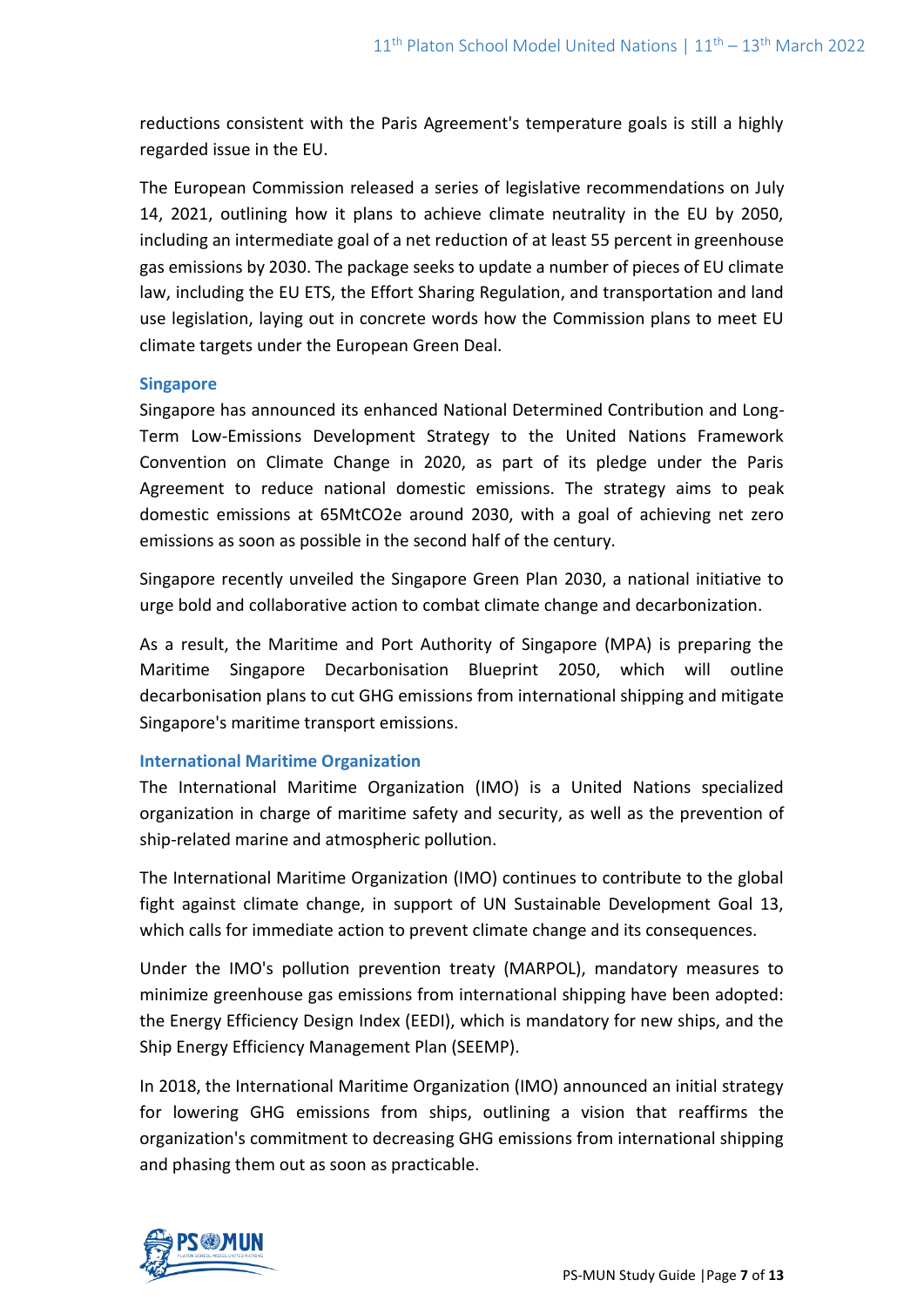reductions consistent with the Paris Agreement's temperature goals is still a highly regarded issue in the EU.

The European Commission released a series of legislative recommendations on July 14, 2021, outlining how it plans to achieve climate neutrality in the EU by 2050, including an intermediate goal of a net reduction of at least 55 percent in greenhouse gas emissions by 2030. The package seeks to update a number of pieces of EU climate law, including the EU ETS, the Effort Sharing Regulation, and transportation and land use legislation, laying out in concrete words how the Commission plans to meet EU climate targets under the European Green Deal.

#### **Singapore**

Singapore has announced its enhanced National Determined Contribution and Long-Term Low-Emissions Development Strategy to the United Nations Framework Convention on Climate Change in 2020, as part of its pledge under the Paris Agreement to reduce national domestic emissions. The strategy aims to peak domestic emissions at 65MtCO2e around 2030, with a goal of achieving net zero emissions as soon as possible in the second half of the century.

Singapore recently unveiled the Singapore Green Plan 2030, a national initiative to urge bold and collaborative action to combat climate change and decarbonization.

As a result, the Maritime and Port Authority of Singapore (MPA) is preparing the Maritime Singapore Decarbonisation Blueprint 2050, which will outline decarbonisation plans to cut GHG emissions from international shipping and mitigate Singapore's maritime transport emissions.

# **International Maritime Organization**

The International Maritime Organization (IMO) is a United Nations specialized organization in charge of maritime safety and security, as well as the prevention of ship-related marine and atmospheric pollution.

The International Maritime Organization (IMO) continues to contribute to the global fight against climate change, in support of UN Sustainable Development Goal 13, which calls for immediate action to prevent climate change and its consequences.

Under the IMO's pollution prevention treaty (MARPOL), mandatory measures to minimize greenhouse gas emissions from international shipping have been adopted: the Energy Efficiency Design Index (EEDI), which is mandatory for new ships, and the Ship Energy Efficiency Management Plan (SEEMP).

In 2018, the International Maritime Organization (IMO) announced an initial strategy for lowering GHG emissions from ships, outlining a vision that reaffirms the organization's commitment to decreasing GHG emissions from international shipping and phasing them out as soon as practicable.

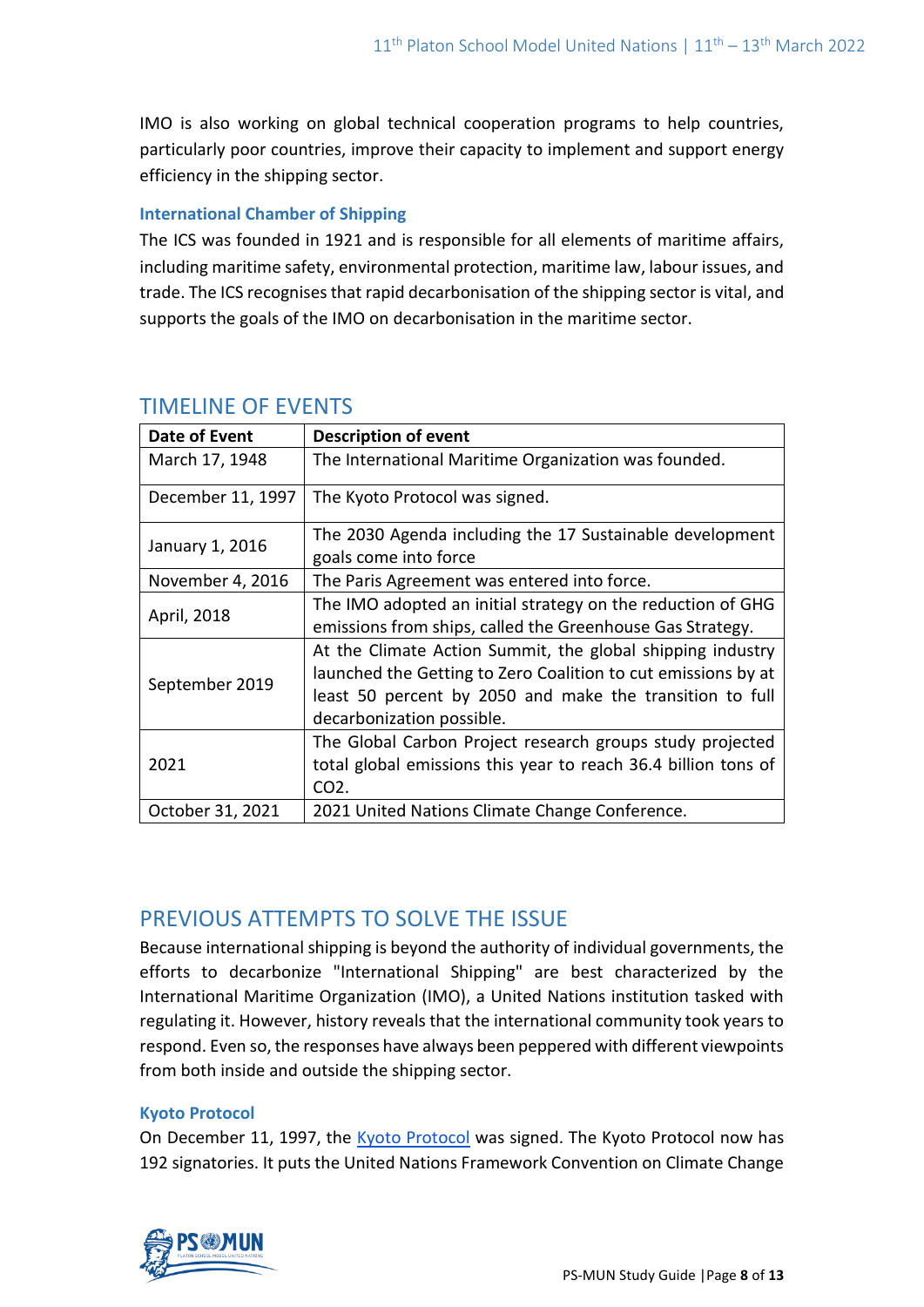IMO is also working on global technical cooperation programs to help countries, particularly poor countries, improve their capacity to implement and support energy efficiency in the shipping sector.

### **International Chamber of Shipping**

The ICS was founded in 1921 and is responsible for all elements of maritime affairs, including maritime safety, environmental protection, maritime law, labour issues, and trade. The ICS recognises that rapid decarbonisation of the shipping sector is vital, and supports the goals of the IMO on decarbonisation in the maritime sector.

| Date of Event     | <b>Description of event</b>                                    |
|-------------------|----------------------------------------------------------------|
| March 17, 1948    | The International Maritime Organization was founded.           |
| December 11, 1997 | The Kyoto Protocol was signed.                                 |
| January 1, 2016   | The 2030 Agenda including the 17 Sustainable development       |
|                   | goals come into force                                          |
| November 4, 2016  | The Paris Agreement was entered into force.                    |
| April, 2018       | The IMO adopted an initial strategy on the reduction of GHG    |
|                   | emissions from ships, called the Greenhouse Gas Strategy.      |
| September 2019    | At the Climate Action Summit, the global shipping industry     |
|                   | launched the Getting to Zero Coalition to cut emissions by at  |
|                   | least 50 percent by 2050 and make the transition to full       |
|                   | decarbonization possible.                                      |
| 2021              | The Global Carbon Project research groups study projected      |
|                   | total global emissions this year to reach 36.4 billion tons of |
|                   | CO <sub>2</sub> .                                              |
| October 31, 2021  | 2021 United Nations Climate Change Conference.                 |

# TIMELINE OF EVENTS

# PREVIOUS ATTEMPTS TO SOLVE THE ISSUE

Because international shipping is beyond the authority of individual governments, the efforts to decarbonize "International Shipping" are best characterized by the International Maritime Organization (IMO), a United Nations institution tasked with regulating it. However, history reveals that the international community took years to respond. Even so, the responses have always been peppered with different viewpoints from both inside and outside the shipping sector.

# **Kyoto Protocol**

On December 11, 1997, the [Kyoto Protocol](https://unfccc.int/resource/docs/convkp/kpeng.pdf) was signed. The Kyoto Protocol now has 192 signatories. It puts the United Nations Framework Convention on Climate Change

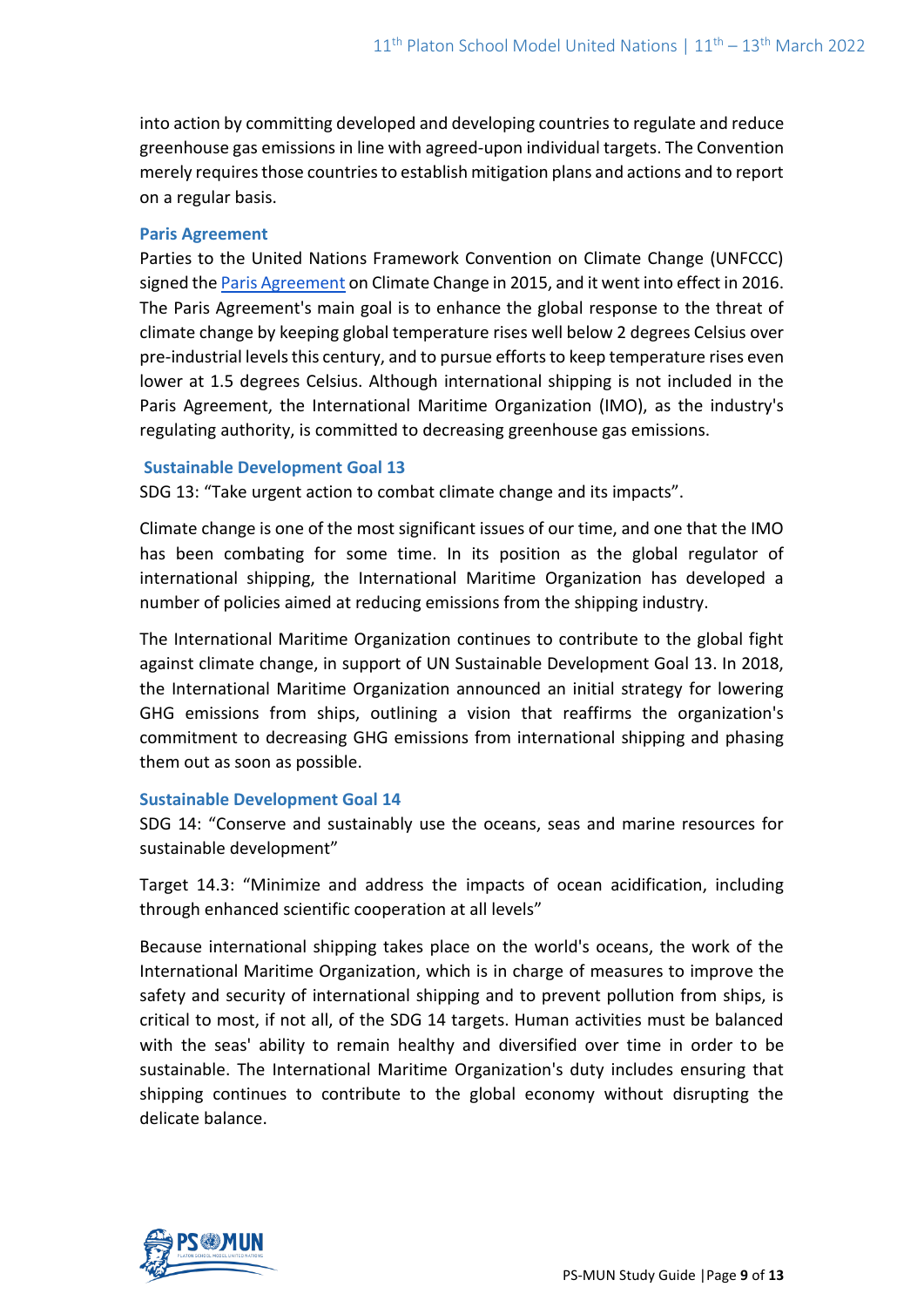into action by committing developed and developing countries to regulate and reduce greenhouse gas emissions in line with agreed-upon individual targets. The Convention merely requires those countries to establish mitigation plans and actions and to report on a regular basis.

#### **Paris Agreement**

Parties to the United Nations Framework Convention on Climate Change (UNFCCC) signed th[e Paris Agreement](https://unfccc.int/sites/default/files/english_paris_agreement.pdf) on Climate Change in 2015, and it went into effect in 2016. The Paris Agreement's main goal is to enhance the global response to the threat of climate change by keeping global temperature rises well below 2 degrees Celsius over pre-industrial levels this century, and to pursue efforts to keep temperature rises even lower at 1.5 degrees Celsius. Although international shipping is not included in the Paris Agreement, the International Maritime Organization (IMO), as the industry's regulating authority, is committed to decreasing greenhouse gas emissions.

#### **Sustainable Development Goal 13**

SDG 13: "Take urgent action to combat climate change and its impacts".

Climate change is one of the most significant issues of our time, and one that the IMO has been combating for some time. In its position as the global regulator of international shipping, the International Maritime Organization has developed a number of policies aimed at reducing emissions from the shipping industry.

The International Maritime Organization continues to contribute to the global fight against climate change, in support of UN Sustainable Development Goal 13. In 2018, the International Maritime Organization announced an initial strategy for lowering GHG emissions from ships, outlining a vision that reaffirms the organization's commitment to decreasing GHG emissions from international shipping and phasing them out as soon as possible.

#### **Sustainable Development Goal 14**

SDG 14: "Conserve and sustainably use the oceans, seas and marine resources for sustainable development"

Target 14.3: "Minimize and address the impacts of ocean acidification, including through enhanced scientific cooperation at all levels"

Because international shipping takes place on the world's oceans, the work of the International Maritime Organization, which is in charge of measures to improve the safety and security of international shipping and to prevent pollution from ships, is critical to most, if not all, of the SDG 14 targets. Human activities must be balanced with the seas' ability to remain healthy and diversified over time in order to be sustainable. The International Maritime Organization's duty includes ensuring that shipping continues to contribute to the global economy without disrupting the delicate balance.

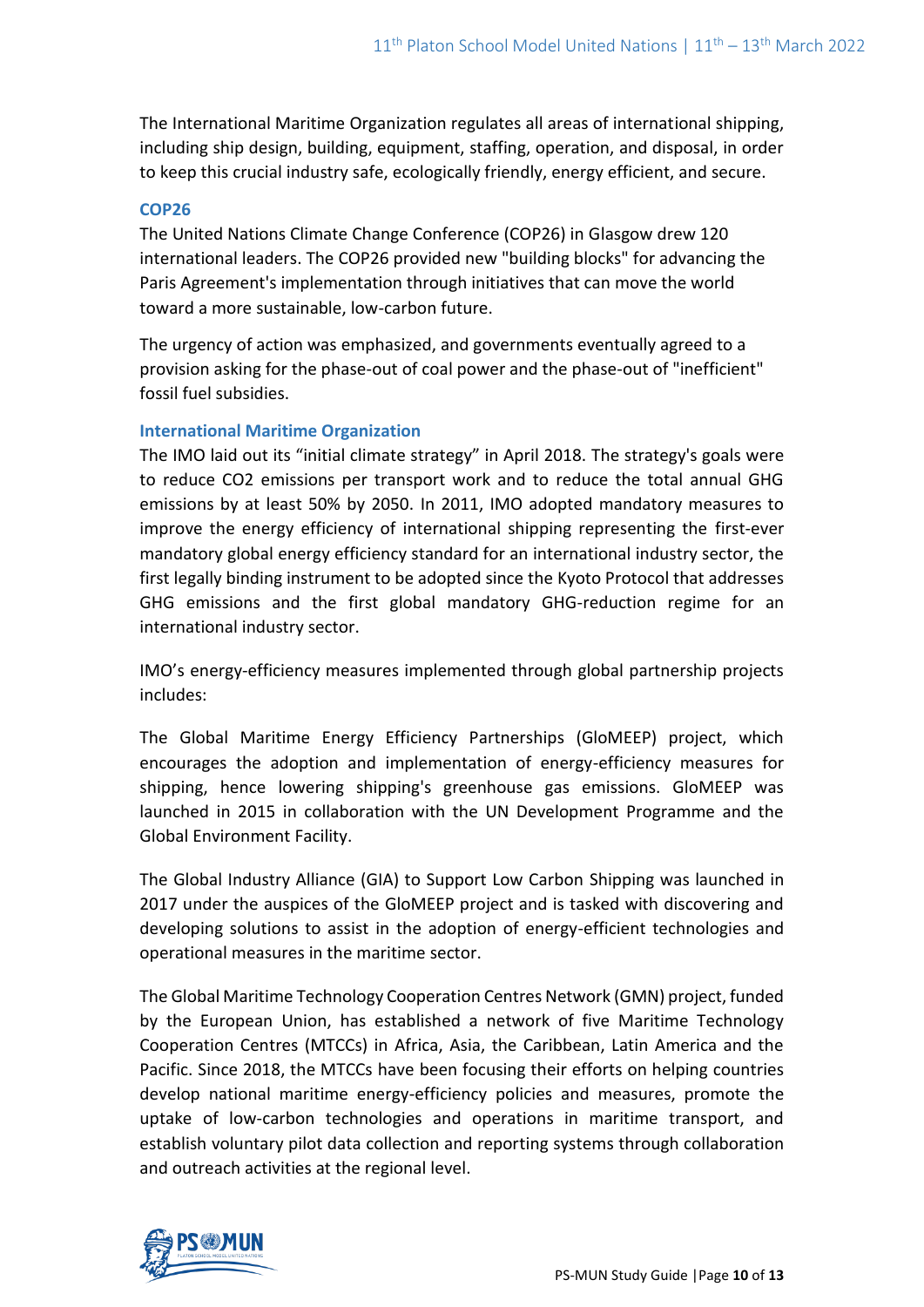The International Maritime Organization regulates all areas of international shipping, including ship design, building, equipment, staffing, operation, and disposal, in order to keep this crucial industry safe, ecologically friendly, energy efficient, and secure.

#### **COP26**

The United Nations Climate Change Conference (COP26) in Glasgow drew 120 international leaders. The COP26 provided new "building blocks" for advancing the Paris Agreement's implementation through initiatives that can move the world toward a more sustainable, low-carbon future.

The urgency of action was emphasized, and governments eventually agreed to a provision asking for the phase-out of coal power and the phase-out of "inefficient" fossil fuel subsidies.

#### **International Maritime Organization**

The IMO laid out its "initial climate strategy" in April 2018. The strategy's goals were to reduce CO2 emissions per transport work and to reduce the total annual GHG emissions by at least 50% by 2050. In 2011, IMO adopted mandatory measures to improve the energy efficiency of international shipping representing the first-ever mandatory global energy efficiency standard for an international industry sector, the first legally binding instrument to be adopted since the Kyoto Protocol that addresses GHG emissions and the first global mandatory GHG-reduction regime for an international industry sector.

IMO's energy-efficiency measures implemented through global partnership projects includes:

The Global Maritime Energy Efficiency Partnerships (GloMEEP) project, which encourages the adoption and implementation of energy-efficiency measures for shipping, hence lowering shipping's greenhouse gas emissions. GloMEEP was launched in 2015 in collaboration with the UN Development Programme and the Global Environment Facility.

The Global Industry Alliance (GIA) to Support Low Carbon Shipping was launched in 2017 under the auspices of the GloMEEP project and is tasked with discovering and developing solutions to assist in the adoption of energy-efficient technologies and operational measures in the maritime sector.

The Global Maritime Technology Cooperation Centres Network (GMN) project, funded by the European Union, has established a network of five Maritime Technology Cooperation Centres (MTCCs) in Africa, Asia, the Caribbean, Latin America and the Pacific. Since 2018, the MTCCs have been focusing their efforts on helping countries develop national maritime energy-efficiency policies and measures, promote the uptake of low-carbon technologies and operations in maritime transport, and establish voluntary pilot data collection and reporting systems through collaboration and outreach activities at the regional level.

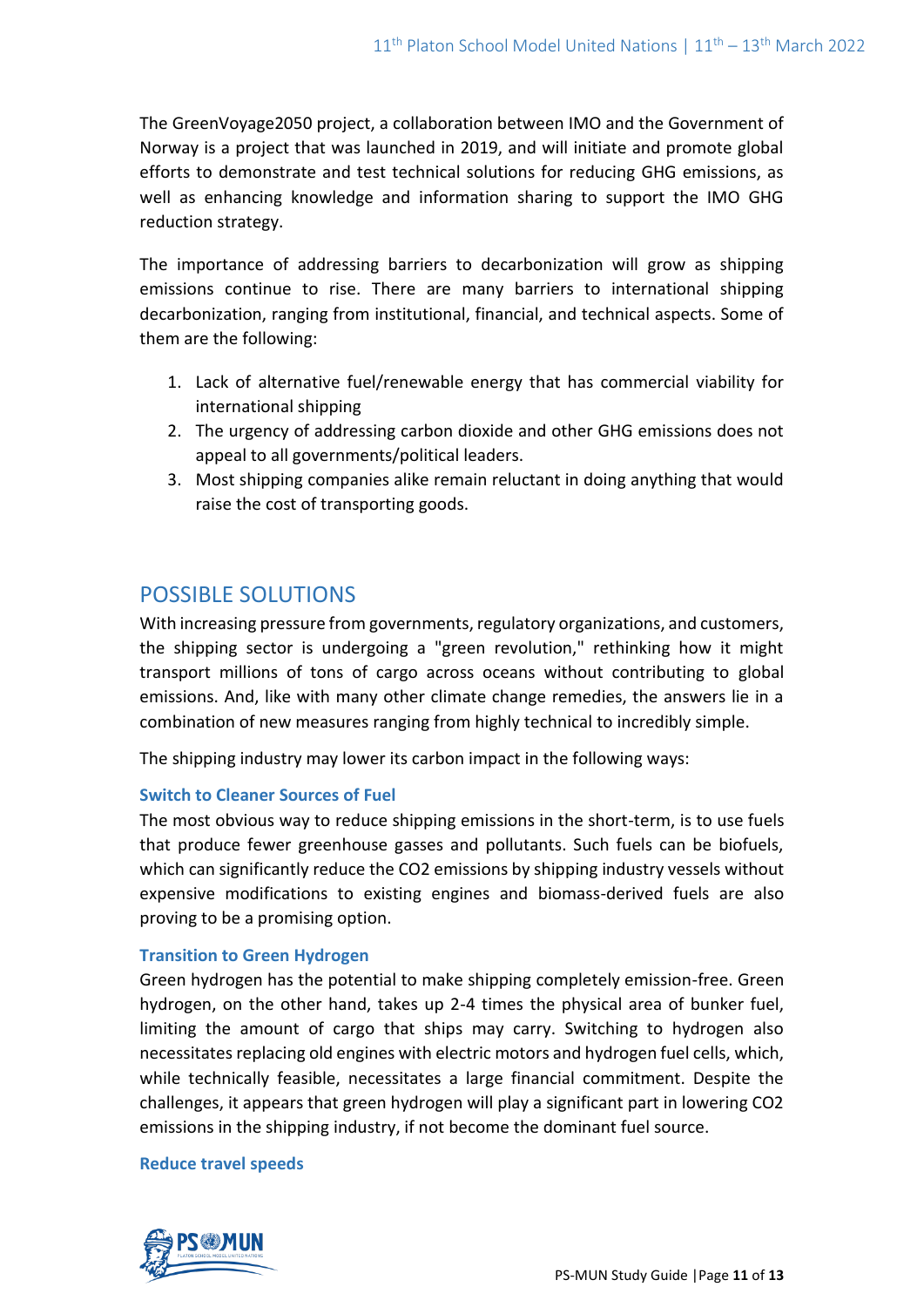The GreenVoyage2050 project, a collaboration between IMO and the Government of Norway is a project that was launched in 2019, and will initiate and promote global efforts to demonstrate and test technical solutions for reducing GHG emissions, as well as enhancing knowledge and information sharing to support the IMO GHG reduction strategy.

The importance of addressing barriers to decarbonization will grow as shipping emissions continue to rise. There are many barriers to international shipping decarbonization, ranging from institutional, financial, and technical aspects. Some of them are the following:

- 1. Lack of alternative fuel/renewable energy that has commercial viability for international shipping
- 2. The urgency of addressing carbon dioxide and other GHG emissions does not appeal to all governments/political leaders.
- 3. Most shipping companies alike remain reluctant in doing anything that would raise the cost of transporting goods.

# POSSIBLE SOLUTIONS

With increasing pressure from governments, regulatory organizations, and customers, the shipping sector is undergoing a "green revolution," rethinking how it might transport millions of tons of cargo across oceans without contributing to global emissions. And, like with many other climate change remedies, the answers lie in a combination of new measures ranging from highly technical to incredibly simple.

The shipping industry may lower its carbon impact in the following ways:

#### **Switch to Cleaner Sources of Fuel**

The most obvious way to reduce shipping emissions in the short-term, is to use fuels that produce fewer greenhouse gasses and pollutants. Such fuels can be biofuels, which can significantly reduce the CO2 emissions by shipping industry vessels without expensive modifications to existing engines and biomass-derived fuels are also proving to be a promising option.

# **Transition to Green Hydrogen**

Green hydrogen has the potential to make shipping completely emission-free. Green hydrogen, on the other hand, takes up 2-4 times the physical area of bunker fuel, limiting the amount of cargo that ships may carry. Switching to hydrogen also necessitates replacing old engines with electric motors and hydrogen fuel cells, which, while technically feasible, necessitates a large financial commitment. Despite the challenges, it appears that green hydrogen will play a significant part in lowering CO2 emissions in the shipping industry, if not become the dominant fuel source.

#### **Reduce travel speeds**

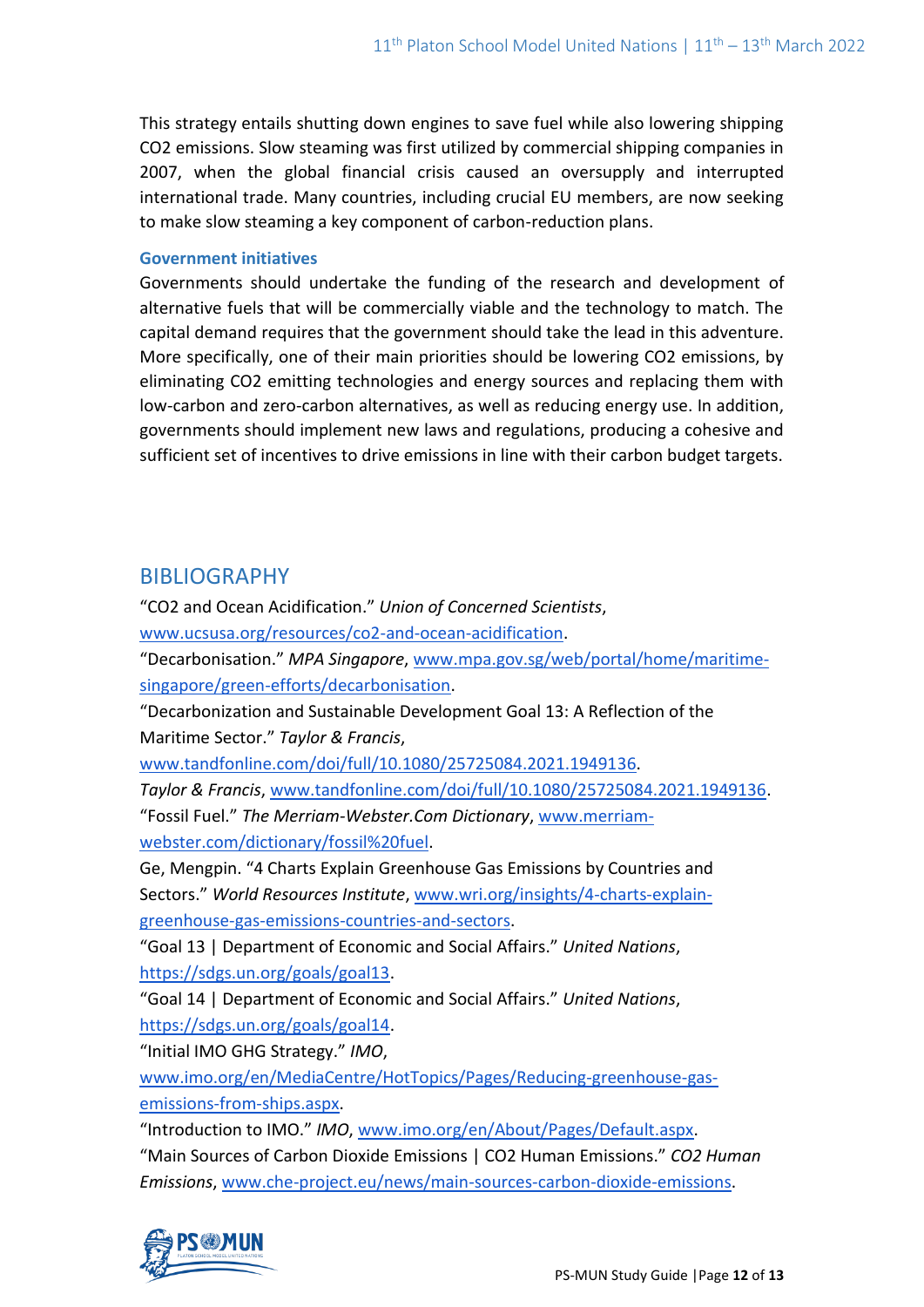This strategy entails shutting down engines to save fuel while also lowering shipping CO2 emissions. Slow steaming was first utilized by commercial shipping companies in 2007, when the global financial crisis caused an oversupply and interrupted international trade. Many countries, including crucial EU members, are now seeking to make slow steaming a key component of carbon-reduction plans.

#### **Government initiatives**

Governments should undertake the funding of the research and development of alternative fuels that will be commercially viable and the technology to match. The capital demand requires that the government should take the lead in this adventure. More specifically, one of their main priorities should be lowering CO2 emissions, by eliminating CO2 emitting technologies and energy sources and replacing them with low-carbon and zero-carbon alternatives, as well as reducing energy use. In addition, governments should implement new laws and regulations, producing a cohesive and sufficient set of incentives to drive emissions in line with their carbon budget targets.

# BIBLIOGRAPHY

"CO2 and Ocean Acidification." *Union of Concerned Scientists*, [www.ucsusa.org/resources/co2-and-ocean-acidification.](http://www.ucsusa.org/resources/co2-and-ocean-acidification)

"Decarbonisation." *MPA Singapore*, [www.mpa.gov.sg/web/portal/home/maritime](http://www.mpa.gov.sg/web/portal/home/maritime-singapore/green-efforts/decarbonisation)[singapore/green-efforts/decarbonisation.](http://www.mpa.gov.sg/web/portal/home/maritime-singapore/green-efforts/decarbonisation)

"Decarbonization and Sustainable Development Goal 13: A Reflection of the Maritime Sector." *Taylor & Francis*,

[www.tandfonline.com/doi/full/10.1080/25725084.2021.1949136.](http://www.tandfonline.com/doi/full/10.1080/25725084.2021.1949136)

*Taylor & Francis*, [www.tandfonline.com/doi/full/10.1080/25725084.2021.1949136.](http://www.tandfonline.com/doi/full/10.1080/25725084.2021.1949136) "Fossil Fuel." *The Merriam-Webster.Com Dictionary*, [www.merriam](http://www.merriam-webster.com/dictionary/fossil%20fuel)[webster.com/dictionary/fossil%20fuel.](http://www.merriam-webster.com/dictionary/fossil%20fuel)

Ge, Mengpin. "4 Charts Explain Greenhouse Gas Emissions by Countries and Sectors." *World Resources Institute*, [www.wri.org/insights/4-charts-explain](http://www.wri.org/insights/4-charts-explain-greenhouse-gas-emissions-countries-and-sectors)[greenhouse-gas-emissions-countries-and-sectors.](http://www.wri.org/insights/4-charts-explain-greenhouse-gas-emissions-countries-and-sectors)

"Goal 13 | Department of Economic and Social Affairs." *United Nations*, [https://sdgs.un.org/goals/goal13.](https://sdgs.un.org/goals/goal13)

"Goal 14 | Department of Economic and Social Affairs." *United Nations*, [https://sdgs.un.org/goals/goal14.](https://sdgs.un.org/goals/goal14)

"Initial IMO GHG Strategy." *IMO*,

[www.imo.org/en/MediaCentre/HotTopics/Pages/Reducing-greenhouse-gas](http://www.imo.org/en/MediaCentre/HotTopics/Pages/Reducing-greenhouse-gas-emissions-from-ships.aspx)[emissions-from-ships.aspx.](http://www.imo.org/en/MediaCentre/HotTopics/Pages/Reducing-greenhouse-gas-emissions-from-ships.aspx)

"Introduction to IMO." *IMO*, [www.imo.org/en/About/Pages/Default.aspx.](http://www.imo.org/en/About/Pages/Default.aspx)

"Main Sources of Carbon Dioxide Emissions | CO2 Human Emissions." *CO2 Human Emissions*, [www.che-project.eu/news/main-sources-carbon-dioxide-emissions.](http://www.che-project.eu/news/main-sources-carbon-dioxide-emissions)